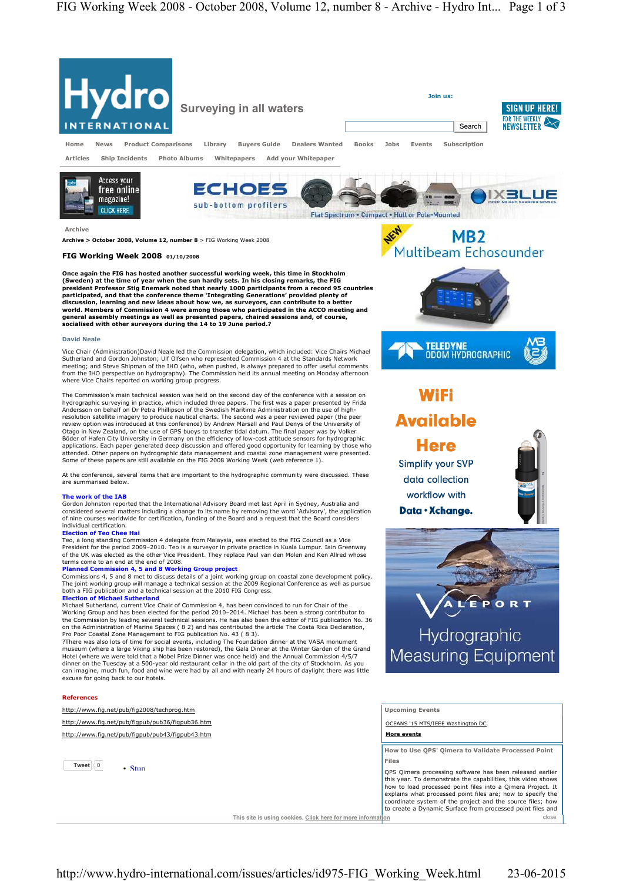

(Sweden) at the time of year when the sun hardly sets. In his closing remarks, the FIG<br>president Professor Stig Enemark noted that nearly 1000 participants from a record 95 countries<br>participated, and that the conference t world. Members of Commission 4 were among those who participated in the ACCO meeting and<br>general assembly meetings as well as presented papers, chaired sessions and, of course,<br>socialised with other surveyors during the 14

## **David Neale**

Vice Chair (Administration)David Neale led the Commission delegation, which included: Vice Chairs Michael Sutherland and Gordon Johnston; Ulf Olfsen who represented Commission 4 at the Standards Network meeting; and Steve Shipman of the IHO (who, when pushed, is always prepared to offer useful comments from the IHO perspective on hydrography). The Commission held its annual meeting on Monday afternoon where Vice Chairs reported on working group progress.

The Commission's main technical session was held on the second day of the conference with a session on hydrographic surveying in practice, which included three papers. The first was a paper presented by Frida Andersson on behalf on Dr Petra Phillipson of the Swedish Maritime Administration on the use of highresolution satellite imagery to produce nautical charts. The second was a peer reviewed paper (the peer review option was introduced at this conference) by Andrew Marsall and Paul Denys of the University of Otago in New Zealand, on the use of GPS buoys to transfer tidal datum. The final paper was by Volker Böder of Hafen City University in Germany on the efficiency of low-cost attitude sensors for hydrographic applications. Each paper generated deep discussion and offered good opportunity for learning by those who attended. Other papers on hydrographic data management and coastal zone management were presented. Some of these papers are still available on the FIG 2008 Working Week (web reference 1).

At the conference, several items that are important to the hydrographic community were discussed. These are summarised below.

## **The work of the IAB**

Gordon Johnston reported that the International Advisory Board met last April in Sydney, Australia and considered several matters including a change to its name by removing the word 'Advisory', the application of nine courses worldwide for certification, funding of the Board and a request that the Board considers individual certification.

## **Election of Teo Chee Hai**

Teo, a long standing Commission 4 delegate from Malaysia, was elected to the FIG Council as a Vice President for the period 2009–2010. Teo is a surveyor in private practice in Kuala Lumpur. Iain Greenway of the UK was elected as the other Vice President. They replace Paul van den Molen and Ken Allred whose terms come to an end at the end of 2008.

**Planned Commission 4, 5 and 8 Working Group project** Commissions 4, 5 and 8 met to discuss details of a joint working group on coastal zone development policy. The joint working group will manage a technical session at the 2009 Regional Conference as well as pursue both a FIG publication and a technical session at the 2010 FIG Congress. **Election of Michael Sutherland**

Michael Sutherland, current Vice Chair of Commission 4, has been convinced to run for Chair of the Working Group and has been elected for the period 2010–2014. Michael has been a strong contributor to the Commission by leading several technical sessions. He has also been the editor of FIG publication No. 36 on the Administration of Marine Spaces ( 8 2) and has contributed the article The Costa Rica Declaration, Pro Poor Coastal Zone Management to FIG publication No. 43 ( 8 3).

?There was also lots of time for social events, including The Foundation dinner at the VASA monument museum (where a large Viking ship has been restored), the Gala Dinner at the Winter Garden of the Grand Hotel (where we were told that a Nobel Prize Dinner was once held) and the Annual Commission 4/5/7 dinner on the Tuesday at a 500-year old restaurant cellar in the old part of the city of Stockholm. As you can imagine, much fun, food and wine were had by all and with nearly 24 hours of daylight there was little excuse for going back to our hotels.

# **References**

http://www.fig.net/pub/fig2008/techprog.htm

http://www.fig.net/pub/figpub/pub36/figpub36.htm

http://www.fig.net/pub/figpub/pub43/figpub43.htm





TELEDYNE<br>ODOM HYDROGRAPHIC

# **WiFi Available**

**Here** Simplify your SVP data collection workflow with Data · Xchange.



R T P O Hydrographic Measuring Equipment

**Upcoming Events** 

OCEANS '15 MTS/IEEE Washington DC

**More events**

**How to Use QPS' Qimera to Validate Processed Point Files** 

QPS Qimera processing software has been released earlier this year. To demonstrate the capabilities, this video shows how to load processed point files into a Qimera Project. It explains what processed point files are; how to specify the coordinate system of the project and the source files; how to create a Dynamic Surface from processed point files and close

This site is using cookies. Click here for more information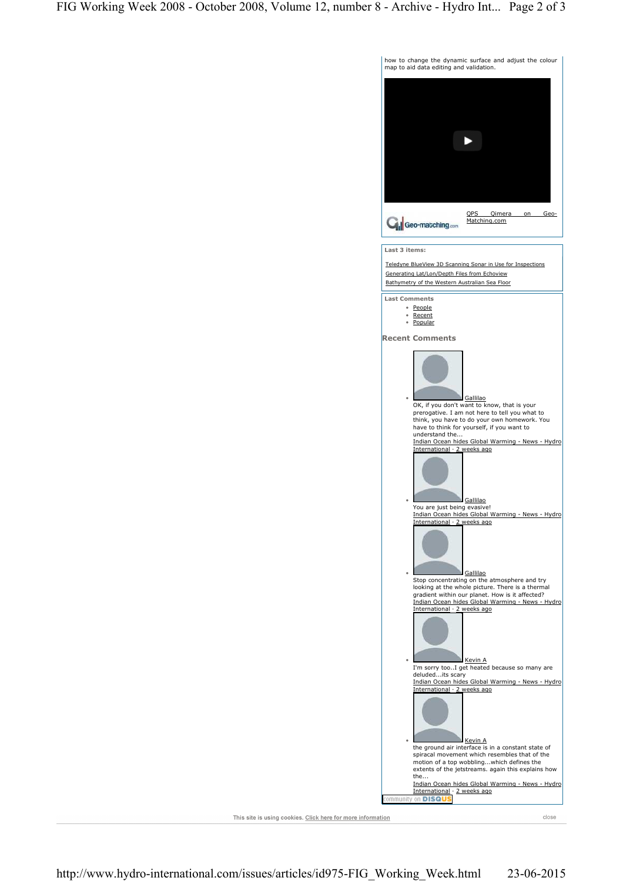

This site is using cookies. Click here for more information